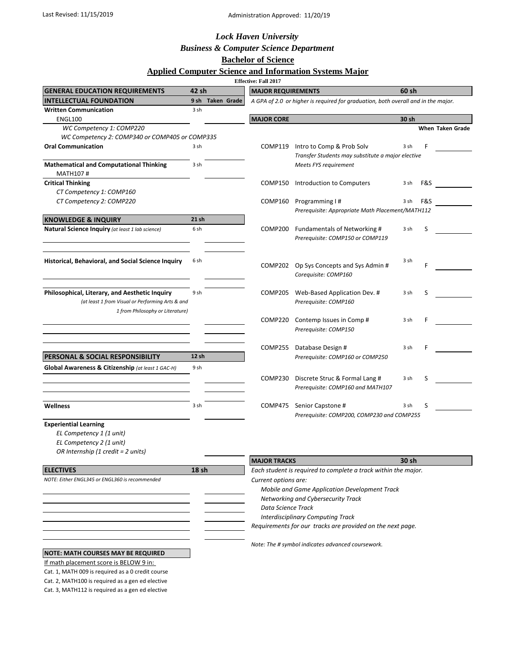### Last Revised: 11/15/2019 **Administration Approved: 11/20/19**

### *Lock Haven University*

# *Business & Computer Science Department*

## **Bachelor of Science**

#### **Applied Computer Science and Information Systems Major**

|                                                    |       |                  | <b>Effective: Fall 2017</b>                                | <b>****************</b>                                                           |       |       |                         |  |
|----------------------------------------------------|-------|------------------|------------------------------------------------------------|-----------------------------------------------------------------------------------|-------|-------|-------------------------|--|
| <b>GENERAL EDUCATION REQUIREMENTS</b>              | 42 sh |                  | <b>MAJOR REQUIREMENTS</b>                                  |                                                                                   |       | 60 sh |                         |  |
| <b>INTELLECTUAL FOUNDATION</b>                     |       | 9 sh Taken Grade |                                                            | A GPA of 2.0 or higher is reguired for graduation, both overall and in the major. |       |       |                         |  |
| <b>Written Communication</b>                       | 3 sh  |                  |                                                            |                                                                                   |       |       |                         |  |
| ENGL100                                            |       |                  | <b>MAJOR CORE</b>                                          |                                                                                   | 30 sh |       |                         |  |
| WC Competency 1: COMP220                           |       |                  |                                                            |                                                                                   |       |       | <b>When Taken Grade</b> |  |
| WC Competency 2: COMP340 or COMP405 or COMP335     |       |                  |                                                            |                                                                                   |       |       |                         |  |
| <b>Oral Communication</b>                          | 3 sh  |                  | COMP119                                                    | Intro to Comp & Prob Solv<br>Transfer Students may substitute a major elective    | 3 sh  | F     |                         |  |
| <b>Mathematical and Computational Thinking</b>     | 3 sh  |                  |                                                            | Meets FYS requirement                                                             |       |       |                         |  |
| <b>MATH107#</b>                                    |       |                  |                                                            |                                                                                   |       |       |                         |  |
| <b>Critical Thinking</b>                           |       |                  | COMP150                                                    | Introduction to Computers                                                         | 3 sh  | F&S   |                         |  |
| CT Competency 1: COMP160                           |       |                  |                                                            |                                                                                   |       |       |                         |  |
| CT Competency 2: COMP220                           |       |                  | COMP160                                                    | Programming I#                                                                    | 3 sh  | F&S   |                         |  |
|                                                    |       |                  |                                                            | Prerequisite: Appropriate Math Placement/MATH112                                  |       |       |                         |  |
| <b>KNOWLEDGE &amp; INQUIRY</b>                     | 21 sh |                  |                                                            |                                                                                   |       |       |                         |  |
| Natural Science Inquiry (at least 1 lab science)   | 6 sh  |                  | COMP200                                                    | Fundamentals of Networking #                                                      | 3 sh  | S     |                         |  |
|                                                    |       |                  |                                                            | Prerequisite: COMP150 or COMP119                                                  |       |       |                         |  |
|                                                    |       |                  |                                                            |                                                                                   |       |       |                         |  |
| Historical, Behavioral, and Social Science Inquiry | 6 sh  |                  | COMP202                                                    | Op Sys Concepts and Sys Admin #                                                   | 3 sh  |       |                         |  |
|                                                    |       |                  |                                                            | Corequisite: COMP160                                                              |       |       |                         |  |
|                                                    |       |                  |                                                            |                                                                                   |       |       |                         |  |
| Philosophical, Literary, and Aesthetic Inquiry     | 9 sh  |                  | COMP205                                                    | Web-Based Application Dev. #                                                      | 3 sh  | S     |                         |  |
| (at least 1 from Visual or Performing Arts & and   |       |                  |                                                            | Prerequisite: COMP160                                                             |       |       |                         |  |
| 1 from Philosophy or Literature)                   |       |                  |                                                            |                                                                                   |       |       |                         |  |
|                                                    |       |                  | COMP220                                                    | Contemp Issues in Comp#                                                           | 3 sh  | F     |                         |  |
|                                                    |       |                  |                                                            | Prerequisite: COMP150                                                             |       |       |                         |  |
|                                                    |       |                  |                                                            |                                                                                   |       |       |                         |  |
|                                                    |       |                  | COMP255                                                    | Database Design #                                                                 | 3 sh  |       |                         |  |
| PERSONAL & SOCIAL RESPONSIBILITY                   | 12 sh |                  |                                                            | Prerequisite: COMP160 or COMP250                                                  |       |       |                         |  |
| Global Awareness & Citizenship (at least 1 GAC-H)  | 9 sh  |                  |                                                            |                                                                                   |       |       |                         |  |
|                                                    |       |                  | COMP230                                                    | Discrete Struc & Formal Lang #                                                    | 3 sh  | S     |                         |  |
|                                                    |       |                  |                                                            | Prerequisite: COMP160 and MATH107                                                 |       |       |                         |  |
| <b>Wellness</b>                                    | 3 sh  |                  | COMP475                                                    |                                                                                   | 3 sh  | S     |                         |  |
|                                                    |       |                  |                                                            | Senior Capstone #<br>Prerequisite: COMP200, COMP230 and COMP255                   |       |       |                         |  |
| <b>Experiential Learning</b>                       |       |                  |                                                            |                                                                                   |       |       |                         |  |
| EL Competency 1 (1 unit)                           |       |                  |                                                            |                                                                                   |       |       |                         |  |
| EL Competency 2 (1 unit)                           |       |                  |                                                            |                                                                                   |       |       |                         |  |
| OR Internship (1 credit = 2 units)                 |       |                  |                                                            |                                                                                   |       |       |                         |  |
|                                                    |       |                  | <b>MAJOR TRACKS</b>                                        |                                                                                   | 30 sh |       |                         |  |
| <b>ELECTIVES</b>                                   | 18 sh |                  |                                                            | Each student is required to complete a track within the major.                    |       |       |                         |  |
| NOTE: Either ENGL345 or ENGL360 is recommended     |       |                  | Current options are:                                       |                                                                                   |       |       |                         |  |
|                                                    |       |                  | Mobile and Game Application Development Track              |                                                                                   |       |       |                         |  |
|                                                    |       |                  | Networking and Cybersecurity Track                         |                                                                                   |       |       |                         |  |
|                                                    |       |                  | Data Science Track                                         |                                                                                   |       |       |                         |  |
|                                                    |       |                  | <b>Interdisciplinary Computing Track</b>                   |                                                                                   |       |       |                         |  |
|                                                    |       |                  | Requirements for our tracks are provided on the next page. |                                                                                   |       |       |                         |  |
|                                                    |       |                  | Note: The # symbol indicates advanced coursework.          |                                                                                   |       |       |                         |  |
| <b>NOTE: MATH COURSES MAY BE REQUIRED</b>          |       |                  |                                                            |                                                                                   |       |       |                         |  |
| If math placement score is BELOW 9 in:             |       |                  |                                                            |                                                                                   |       |       |                         |  |
| Cat. 1, MATH 009 is required as a 0 credit course  |       |                  |                                                            |                                                                                   |       |       |                         |  |
| Cat. 2, MATH100 is required as a gen ed elective   |       |                  |                                                            |                                                                                   |       |       |                         |  |

Cat. 3, MATH112 is required as a gen ed elective